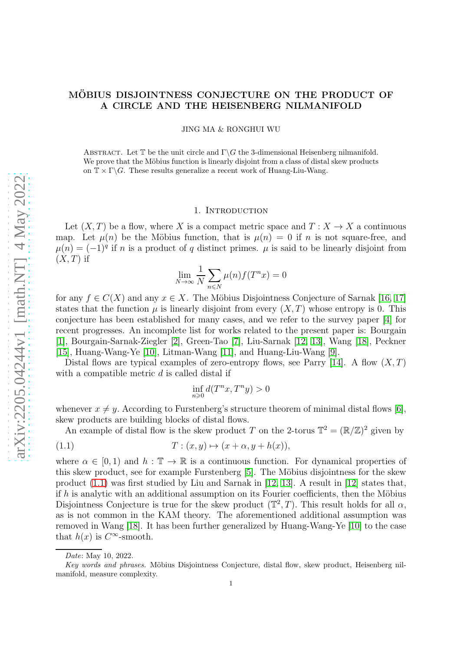# MÖBIUS DISJOINTNESS CONJECTURE ON THE PRODUCT OF A CIRCLE AND THE HEISENBERG NILMANIFOLD

JING MA & RONGHUI WU

ABSTRACT. Let  $\mathbb T$  be the unit circle and  $\Gamma \backslash G$  the 3-dimensional Heisenberg nilmanifold. We prove that the Möbius function is linearly disjoint from a class of distal skew products on  $\mathbb{T} \times \Gamma \backslash G$ . These results generalize a recent work of Huang-Liu-Wang.

### 1. INTRODUCTION

Let  $(X, T)$  be a flow, where X is a compact metric space and  $T : X \to X$  a continuous map. Let  $\mu(n)$  be the Möbius function, that is  $\mu(n) = 0$  if n is not square-free, and  $\mu(n) = (-1)^q$  if n is a product of q distinct primes.  $\mu$  is said to be linearly disjoint from  $(X, T)$  if

$$
\lim_{N \to \infty} \frac{1}{N} \sum_{n \leq N} \mu(n) f(T^n x) = 0
$$

for any  $f \in C(X)$  and any  $x \in X$ . The Möbius Disjointness Conjecture of Sarnak [\[16,](#page-15-0) [17\]](#page-15-1) states that the function  $\mu$  is linearly disjoint from every  $(X, T)$  whose entropy is 0. This conjecture has been established for many cases, and we refer to the survey paper [\[4\]](#page-14-0) for recent progresses. An incomplete list for works related to the present paper is: Bourgain [\[1\]](#page-14-1), Bourgain-Sarnak-Ziegler [\[2\]](#page-14-2), Green-Tao [\[7\]](#page-15-2), Liu-Sarnak [\[12,](#page-15-3) [13\]](#page-15-4), Wang [\[18\]](#page-15-5), Peckner [\[15\]](#page-15-6), Huang-Wang-Ye [\[10\]](#page-15-7), Litman-Wang [\[11\]](#page-15-8), and Huang-Liu-Wang [\[9\]](#page-15-9).

Distal flows are typical examples of zero-entropy flows, see Parry [\[14\]](#page-15-10). A flow  $(X, T)$ with a compatible metric  $d$  is called distal if

<span id="page-0-0"></span>
$$
\inf_{n\geqslant 0} d(T^nx,T^ny) > 0
$$

whenever  $x \neq y$ . According to Furstenberg's structure theorem of minimal distal flows [\[6\]](#page-15-11), skew products are building blocks of distal flows.

An example of distal flow is the skew product T on the 2-torus  $\mathbb{T}^2 = (\mathbb{R}/\mathbb{Z})^2$  given by

$$
(1.1) \t\t T: (x, y) \mapsto (x + \alpha, y + h(x)),
$$

where  $\alpha \in [0,1)$  and  $h : \mathbb{T} \to \mathbb{R}$  is a continuous function. For dynamical properties of this skew product, see for example Furstenberg  $[5]$ . The Möbius disjointness for the skew product  $(1.1)$  was first studied by Liu and Sarnak in [\[12,](#page-15-3) [13\]](#page-15-4). A result in [\[12\]](#page-15-3) states that, if  $h$  is analytic with an additional assumption on its Fourier coefficients, then the Möbius Disjointness Conjecture is true for the skew product  $(\mathbb{T}^2, T)$ . This result holds for all  $\alpha$ , as is not common in the KAM theory. The aforementioned additional assumption was removed in Wang [\[18\]](#page-15-5). It has been further generalized by Huang-Wang-Ye [\[10\]](#page-15-7) to the case that  $h(x)$  is  $C^{\infty}$ -smooth.

Date: May 10, 2022.

Key words and phrases. Möbius Disjointness Conjecture, distal flow, skew product, Heisenberg nilmanifold, measure complexity.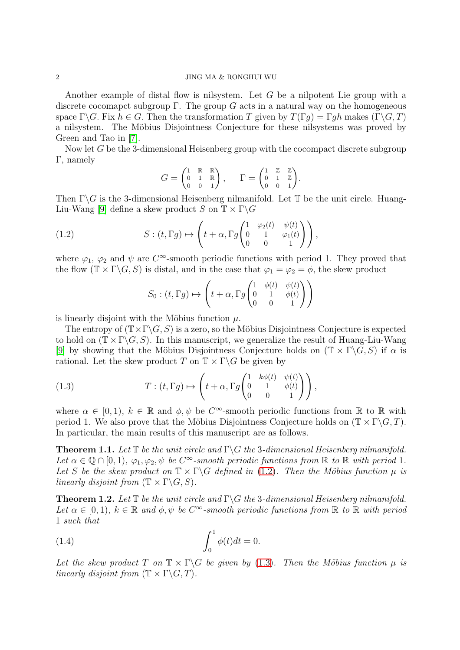#### 2 JING MA & RONGHUI WU

Another example of distal flow is nilsystem. Let G be a nilpotent Lie group with a discrete cocomapct subgroup  $\Gamma$ . The group G acts in a natural way on the homogeneous space  $\Gamma \backslash G$ . Fix  $h \in G$ . Then the transformation T given by  $T(\Gamma q) = \Gamma q h$  makes  $(\Gamma \backslash G, T)$ a nilsystem. The Möbius Disjointness Conjecture for these nilsystems was proved by Green and Tao in [\[7\]](#page-15-2).

Now let G be the 3-dimensional Heisenberg group with the cocompact discrete subgroup Γ, namely

$$
G = \begin{pmatrix} 1 & \mathbb{R} & \mathbb{R} \\ 0 & 1 & \mathbb{R} \\ 0 & 0 & 1 \end{pmatrix}, \quad \Gamma = \begin{pmatrix} 1 & \mathbb{Z} & \mathbb{Z} \\ 0 & 1 & \mathbb{Z} \\ 0 & 0 & 1 \end{pmatrix}.
$$

Then  $\Gamma \backslash G$  is the 3-dimensional Heisenberg nilmanifold. Let  $\mathbb T$  be the unit circle. Huang-Liu-Wang [\[9\]](#page-15-9) define a skew product S on  $\mathbb{T} \times \Gamma \backslash G$ 

(1.2) 
$$
S: (t, \Gamma g) \mapsto \left( t + \alpha, \Gamma g \begin{pmatrix} 1 & \varphi_2(t) & \psi(t) \\ 0 & 1 & \varphi_1(t) \\ 0 & 0 & 1 \end{pmatrix} \right),
$$

where  $\varphi_1$ ,  $\varphi_2$  and  $\psi$  are  $C^{\infty}$ -smooth periodic functions with period 1. They proved that the flow  $(\mathbb{T} \times \Gamma \backslash G, S)$  is distal, and in the case that  $\varphi_1 = \varphi_2 = \phi$ , the skew product

<span id="page-1-0"></span>
$$
S_0: (t, \Gamma g) \mapsto \left( t + \alpha, \Gamma g \begin{pmatrix} 1 & \phi(t) & \psi(t) \\ 0 & 1 & \phi(t) \\ 0 & 0 & 1 \end{pmatrix} \right)
$$

is linearly disjoint with the Möbius function  $\mu$ .

The entropy of  $(\mathbb{T} \times \Gamma \backslash G, S)$  is a zero, so the Möbius Disjointness Conjecture is expected to hold on  $(\mathbb{T} \times \Gamma \backslash G, S)$ . In this manuscript, we generalize the result of Huang-Liu-Wang [\[9\]](#page-15-9) by showing that the Möbius Disjointness Conjecture holds on  $(\mathbb{T} \times \Gamma \backslash G, S)$  if  $\alpha$  is rational. Let the skew product T on  $\mathbb{T} \times \Gamma \backslash G$  be given by

<span id="page-1-1"></span>(1.3) 
$$
T: (t, \Gamma g) \mapsto \left( t + \alpha, \Gamma g \begin{pmatrix} 1 & k\phi(t) & \psi(t) \\ 0 & 1 & \phi(t) \\ 0 & 0 & 1 \end{pmatrix} \right),
$$

where  $\alpha \in [0,1)$ ,  $k \in \mathbb{R}$  and  $\phi, \psi$  be C<sup> $\infty$ </sup>-smooth periodic functions from  $\mathbb{R}$  to  $\mathbb{R}$  with period 1. We also prove that the Möbius Disjointness Conjecture holds on  $(\mathbb{T} \times \Gamma \backslash G, T)$ . In particular, the main results of this manuscript are as follows.

<span id="page-1-2"></span>**Theorem 1.1.** Let  $\mathbb T$  be the unit circle and  $\Gamma \backslash G$  the 3-dimensional Heisenberg nilmanifold. Let  $\alpha \in \mathbb{Q} \cap [0,1)$ ,  $\varphi_1, \varphi_2, \psi$  be  $C^{\infty}$ -smooth periodic functions from  $\mathbb{R}$  to  $\mathbb{R}$  with period 1. Let S be the skew product on  $\mathbb{T} \times \Gamma \backslash G$  defined in [\(1.2\)](#page-1-0). Then the Möbius function  $\mu$  is linearly disjoint from  $(\mathbb{T} \times \Gamma \backslash G, S)$ .

<span id="page-1-3"></span>**Theorem 1.2.** Let  $\mathbb T$  be the unit circle and  $\Gamma \backslash G$  the 3-dimensional Heisenberg nilmanifold. Let  $\alpha \in [0,1)$ ,  $k \in \mathbb{R}$  and  $\phi, \psi$  be  $C^{\infty}$ -smooth periodic functions from  $\mathbb{R}$  to  $\mathbb{R}$  with period 1 such that

<span id="page-1-4"></span>(1.4) 
$$
\int_0^1 \phi(t)dt = 0.
$$

Let the skew product T on  $\mathbb{T} \times \Gamma \backslash G$  be given by [\(1.3\)](#page-1-1). Then the Möbius function  $\mu$  is linearly disjoint from  $(\mathbb{T} \times \Gamma \backslash G, T)$ .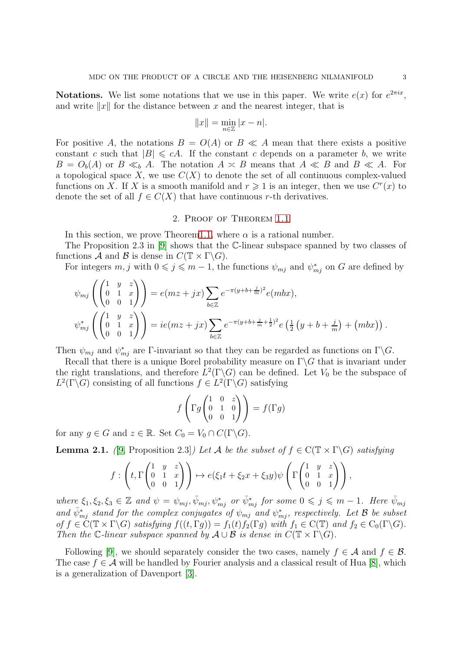**Notations.** We list some notations that we use in this paper. We write  $e(x)$  for  $e^{2\pi ix}$ , and write  $||x||$  for the distance between x and the nearest integer, that is

$$
||x|| = \min_{n \in \mathbb{Z}} |x - n|.
$$

For positive A, the notations  $B = O(A)$  or  $B \ll A$  mean that there exists a positive constant c such that  $|B| \leq cA$ . If the constant c depends on a parameter b, we write  $B = O_b(A)$  or  $B \ll_b A$ . The notation  $A \approx B$  means that  $A \ll B$  and  $B \ll A$ . For a topological space X, we use  $C(X)$  to denote the set of all continuous complex-valued functions on X. If X is a smooth manifold and  $r \geq 1$  is an integer, then we use  $C<sup>r</sup>(x)$  to denote the set of all  $f \in C(X)$  that have continuous r-th derivatives.

## 2. Proof of Theorem [1.1](#page-1-2)

In this section, we prove Theore[m1.1,](#page-1-2) where  $\alpha$  is a rational number.

The Proposition 2.3 in [\[9\]](#page-15-9) shows that the C-linear subspace spanned by two classes of functions A and B is dense in  $C(\mathbb{T} \times \Gamma \backslash G)$ .

For integers  $m, j$  with  $0 \leq j \leq m-1$ , the functions  $\psi_{mj}$  and  $\psi^*_{mj}$  on G are defined by

$$
\psi_{mj}\left(\begin{pmatrix} 1 & y & z \\ 0 & 1 & x \\ 0 & 0 & 1 \end{pmatrix}\right) = e(mz + jx) \sum_{b \in \mathbb{Z}} e^{-\pi(y+b+\frac{j}{m})^2} e(mbx),
$$
  

$$
\psi_{mj}^* \left(\begin{pmatrix} 1 & y & z \\ 0 & 1 & x \\ 0 & 0 & 1 \end{pmatrix}\right) = ie(mz + jx) \sum_{b \in \mathbb{Z}} e^{-\pi(y+b+\frac{j}{m}+\frac{1}{2})^2} e\left(\frac{1}{2}(y+b+\frac{j}{m}) + (mbx)\right).
$$

Then  $\psi_{mj}$  and  $\psi^*_{mj}$  are Γ-invariant so that they can be regarded as functions on  $\Gamma \backslash G$ .

Recall that there is a unique Borel probability measure on  $\Gamma \backslash G$  that is invariant under the right translations, and therefore  $L^2(\Gamma \backslash G)$  can be defined. Let  $V_0$  be the subspace of  $L^2(\Gamma \backslash G)$  consisting of all functions  $f \in L^2(\Gamma \backslash G)$  satisfying

$$
f\left(\Gamma g \begin{pmatrix} 1 & 0 & z \\ 0 & 1 & 0 \\ 0 & 0 & 1 \end{pmatrix} \right) = f(\Gamma g)
$$

for any  $g \in G$  and  $z \in \mathbb{R}$ . Set  $C_0 = V_0 \cap C(\Gamma \backslash G)$ .

**Lemma 2.1.** ([\[9,](#page-15-9) Proposition 2.3]) Let A be the subset of  $f \in C(\mathbb{T} \times \Gamma \backslash G)$  satisfying

$$
f:\left(t,\Gamma\begin{pmatrix}1&y&z\\0&1&x\\0&0&1\end{pmatrix}\right)\mapsto e(\xi_1t+\xi_2x+\xi_3y)\psi\left(\Gamma\begin{pmatrix}1&y&z\\0&1&x\\0&0&1\end{pmatrix}\right),
$$

where  $\xi_1, \xi_2, \xi_3 \in \mathbb{Z}$  and  $\psi = \psi_{mj}, \bar{\psi}_{mj}, \psi^*_{mj}$  or  $\bar{\psi}_{mj}^*$  for some  $0 \leqslant j \leqslant m-1$ . Here  $\bar{\psi}_{mj}$ and  $\bar{\psi}_{mj}^*$  stand for the complex conjugates of  $\psi_{mj}$  and  $\psi_{mj}^*$ , respectively. Let  $\mathcal B$  be subset of  $f \in C(\mathbb{T} \times \Gamma \backslash G)$  satisfying  $f((t, \Gamma g)) = f_1(t) f_2(\Gamma g)$  with  $f_1 \in C(\mathbb{T})$  and  $f_2 \in C_0(\Gamma \backslash G)$ . Then the C-linear subspace spanned by  $\mathcal{A} \cup \mathcal{B}$  is dense in  $C(\mathbb{T} \times \Gamma \backslash G)$ .

Following [\[9\]](#page-15-9), we should separately consider the two cases, namely  $f \in \mathcal{A}$  and  $f \in \mathcal{B}$ . The case  $f \in \mathcal{A}$  will be handled by Fourier analysis and a classical result of Hua [\[8\]](#page-15-13), which is a generalization of Davenport [\[3\]](#page-14-3).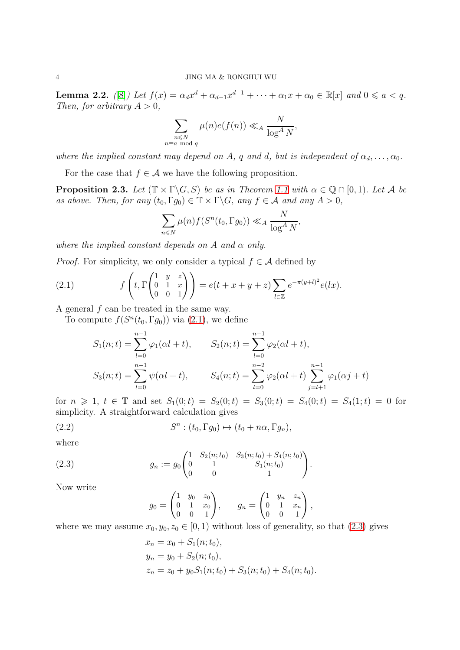<span id="page-3-3"></span>**Lemma 2.2.** ([\[8\]](#page-15-13)) Let  $f(x) = \alpha_d x^d + \alpha_{d-1} x^{d-1} + \cdots + \alpha_1 x + \alpha_0 \in \mathbb{R}[x]$  and  $0 \le a < q$ . Then, for arbitrary  $A > 0$ ,

$$
\sum_{\substack{n \le N \\ n \equiv a \mod q}} \mu(n)e(f(n)) \ll_A \frac{N}{\log^A N},
$$

where the implied constant may depend on A, q and d, but is independent of  $\alpha_d, \ldots, \alpha_0$ .

For the case that  $f \in \mathcal{A}$  we have the following proposition.

<span id="page-3-4"></span>**Proposition 2.3.** Let  $(\mathbb{T} \times \Gamma \backslash G, S)$  be as in Theorem [1.1](#page-1-2) with  $\alpha \in \mathbb{Q} \cap [0, 1)$ . Let A be as above. Then, for any  $(t_0, \Gamma g_0) \in \mathbb{T} \times \Gamma \backslash G$ , any  $f \in \mathcal{A}$  and any  $A > 0$ ,

$$
\sum_{n\leq N}\mu(n)f(S^n(t_0,\Gamma g_0))\ll_A \frac{N}{\log^AN},
$$

where the implied constant depends on A and  $\alpha$  only.

*Proof.* For simplicity, we only consider a typical  $f \in \mathcal{A}$  defined by

(2.1) 
$$
f\left(t, \Gamma\begin{pmatrix} 1 & y & z \\ 0 & 1 & x \\ 0 & 0 & 1 \end{pmatrix}\right) = e(t+x+y+z) \sum_{l \in \mathbb{Z}} e^{-\pi (y+l)^2} e(lx).
$$

A general f can be treated in the same way.

To compute  $f(S^n(t_0, \Gamma g_0))$  via  $(2.1)$ , we define

<span id="page-3-0"></span>
$$
S_1(n;t) = \sum_{l=0}^{n-1} \varphi_1(\alpha l + t), \qquad S_2(n;t) = \sum_{l=0}^{n-1} \varphi_2(\alpha l + t),
$$
  

$$
S_3(n;t) = \sum_{l=0}^{n-1} \psi(\alpha l + t), \qquad S_4(n;t) = \sum_{l=0}^{n-2} \varphi_2(\alpha l + t) \sum_{j=l+1}^{n-1} \varphi_1(\alpha j + t)
$$

for  $n \ge 1$ ,  $t \in \mathbb{T}$  and set  $S_1(0;t) = S_2(0;t) = S_3(0;t) = S_4(0;t) = S_4(1;t) = 0$  for simplicity. A straightforward calculation gives

(2.2) 
$$
S^{n} : (t_{0}, \Gamma g_{0}) \mapsto (t_{0} + n \alpha, \Gamma g_{n}),
$$

where

(2.3) 
$$
g_n := g_0 \begin{pmatrix} 1 & S_2(n; t_0) & S_3(n; t_0) + S_4(n; t_0) \\ 0 & 1 & S_1(n; t_0) \\ 0 & 0 & 1 \end{pmatrix}
$$

Now write

<span id="page-3-2"></span><span id="page-3-1"></span>
$$
g_0 = \begin{pmatrix} 1 & y_0 & z_0 \\ 0 & 1 & x_0 \\ 0 & 0 & 1 \end{pmatrix}, \qquad g_n = \begin{pmatrix} 1 & y_n & z_n \\ 0 & 1 & x_n \\ 0 & 0 & 1 \end{pmatrix},
$$

.

where we may assume  $x_0, y_0, z_0 \in [0, 1)$  without loss of generality, so that [\(2.3\)](#page-3-1) gives

$$
x_n = x_0 + S_1(n; t_0),
$$
  
\n
$$
y_n = y_0 + S_2(n; t_0),
$$
  
\n
$$
z_n = z_0 + y_0 S_1(n; t_0) + S_3(n; t_0) + S_4(n; t_0).
$$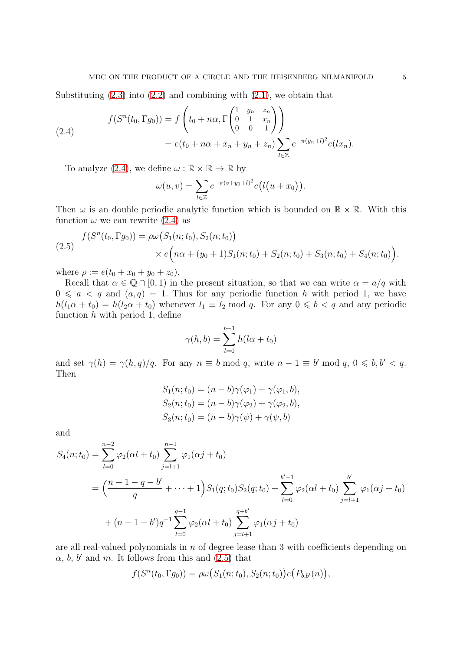Substituting  $(2.3)$  into  $(2.2)$  and combining with  $(2.1)$ , we obtain that

<span id="page-4-0"></span>(2.4) 
$$
f(S^{n}(t_{0}, \Gamma g_{0})) = f\left(t_{0} + n\alpha, \Gamma\begin{pmatrix} 1 & y_{n} & z_{n} \\ 0 & 1 & x_{n} \\ 0 & 0 & 1 \end{pmatrix}\right)
$$

$$
= e(t_{0} + n\alpha + x_{n} + y_{n} + z_{n}) \sum_{l \in \mathbb{Z}} e^{-\pi (y_{n} + l)^{2}} e(lx_{n}).
$$

To analyze [\(2.4\)](#page-4-0), we define  $\omega : \mathbb{R} \times \mathbb{R} \to \mathbb{R}$  by

$$
\omega(u,v)=\sum_{l\in\mathbb{Z}}e^{-\pi(v+y_0+l)^2}e(l(u+x_0)).
$$

Then  $\omega$  is an double periodic analytic function which is bounded on  $\mathbb{R} \times \mathbb{R}$ . With this function  $\omega$  we can rewrite [\(2.4\)](#page-4-0) as

<span id="page-4-1"></span>(2.5) 
$$
f(S^{n}(t_{0}, \Gamma g_{0})) = \rho \omega (S_{1}(n; t_{0}), S_{2}(n; t_{0})) \times e(n\alpha + (y_{0} + 1)S_{1}(n; t_{0}) + S_{2}(n; t_{0}) + S_{3}(n; t_{0}) + S_{4}(n; t_{0})),
$$

where  $\rho := e(t_0 + x_0 + y_0 + z_0)$ .

Recall that  $\alpha \in \mathbb{Q} \cap [0,1)$  in the present situation, so that we can write  $\alpha = a/q$  with  $0 \leq a \leq q$  and  $(a, q) = 1$ . Thus for any periodic function h with period 1, we have  $h(l_1\alpha + t_0) = h(l_2\alpha + t_0)$  whenever  $l_1 \equiv l_2 \mod q$ . For any  $0 \leq b < q$  and any periodic function  $h$  with period 1, define

$$
\gamma(h, b) = \sum_{l=0}^{b-1} h(l\alpha + t_0)
$$

and set  $\gamma(h) = \gamma(h,q)/q$ . For any  $n \equiv b \mod q$ , write  $n-1 \equiv b' \mod q$ ,  $0 \leq b, b' < q$ . Then

$$
S_1(n; t_0) = (n - b)\gamma(\varphi_1) + \gamma(\varphi_1, b),
$$
  
\n
$$
S_2(n; t_0) = (n - b)\gamma(\varphi_2) + \gamma(\varphi_2, b),
$$
  
\n
$$
S_3(n; t_0) = (n - b)\gamma(\psi) + \gamma(\psi, b)
$$

and

$$
S_4(n;t_0) = \sum_{l=0}^{n-2} \varphi_2(\alpha l + t_0) \sum_{j=l+1}^{n-1} \varphi_1(\alpha j + t_0)
$$
  
=  $\left(\frac{n-1-q-b'}{q} + \dots + 1\right) S_1(q;t_0) S_2(q;t_0) + \sum_{l=0}^{b'-1} \varphi_2(\alpha l + t_0) \sum_{j=l+1}^{b'} \varphi_1(\alpha j + t_0)$   
+  $(n-1-b')q^{-1} \sum_{l=0}^{q-1} \varphi_2(\alpha l + t_0) \sum_{j=l+1}^{q+b'} \varphi_1(\alpha j + t_0)$ 

are all real-valued polynomials in  $n$  of degree lease than 3 with coefficients depending on  $\alpha$ , b, b' and m. It follows from this and  $(2.5)$  that

$$
f(S^{n}(t_{0}, \Gamma g_{0})) = \rho \omega(S_{1}(n; t_{0}), S_{2}(n; t_{0})) e(P_{b,b'}(n)),
$$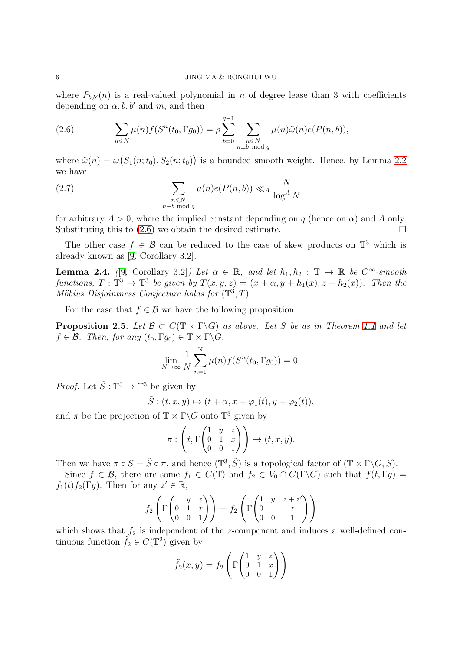where  $P_{b,b'}(n)$  is a real-valued polynomial in n of degree lease than 3 with coefficients depending on  $\alpha$ , b, b' and m, and then

<span id="page-5-0"></span>(2.6) 
$$
\sum_{n\leq N}\mu(n)f(S^n(t_0,\Gamma g_0))=\rho\sum_{b=0}^{q-1}\sum_{\substack{n\leq N\\ n\equiv b \bmod q}}\mu(n)\tilde{\omega}(n)e(P(n,b)),
$$

where  $\tilde{\omega}(n) = \omega(S_1(n; t_0), S_2(n; t_0))$  is a bounded smooth weight. Hence, by Lemma [2.2](#page-3-3) we have

(2.7) 
$$
\sum_{\substack{n \leq N \\ n \equiv b \bmod q}} \mu(n)e(P(n, b)) \ll_A \frac{N}{\log^A N}
$$

for arbitrary  $A > 0$ , where the implied constant depending on q (hence on  $\alpha$ ) and A only. Substituting this to  $(2.6)$  we obtain the desired estimate.

The other case  $f \in \mathcal{B}$  can be reduced to the case of skew products on  $\mathbb{T}^3$  which is already known as [\[9,](#page-15-9) Corollary 3.2].

<span id="page-5-1"></span>**Lemma 2.4.** ([\[9,](#page-15-9) Corollary 3.2]) Let  $\alpha \in \mathbb{R}$ , and let  $h_1, h_2 : \mathbb{T} \to \mathbb{R}$  be  $C^{\infty}$ -smooth functions,  $T : \mathbb{T}^3 \to \mathbb{T}^3$  be given by  $T(x, y, z) = (x + \alpha, y + h_1(x), z + h_2(x))$ . Then the Möbius Disjointness Conjecture holds for  $(\mathbb{T}^3, T)$ .

For the case that  $f \in \mathcal{B}$  we have the following proposition.

<span id="page-5-2"></span>**Proposition 2.5.** Let  $\mathcal{B} \subset C(\mathbb{T} \times \Gamma \backslash G)$  as above. Let S be as in Theorem [1.1](#page-1-2) and let  $f \in \mathcal{B}$ . Then, for any  $(t_0, \Gamma q_0) \in \mathbb{T} \times \Gamma \backslash G$ ,

$$
\lim_{N \to \infty} \frac{1}{N} \sum_{n=1}^{N} \mu(n) f(S^{n}(t_{0}, \Gamma g_{0})) = 0.
$$

*Proof.* Let  $\tilde{S} : \mathbb{T}^3 \to \mathbb{T}^3$  be given by

$$
\tilde{S}:(t,x,y)\mapsto (t+\alpha,x+\varphi_1(t),y+\varphi_2(t)),
$$

and  $\pi$  be the projection of  $\mathbb{T} \times \Gamma \backslash G$  onto  $\mathbb{T}^3$  given by

$$
\pi: \left(t, \Gamma\begin{pmatrix} 1 & y & z \\ 0 & 1 & x \\ 0 & 0 & 1 \end{pmatrix}\right) \mapsto (t, x, y).
$$

Then we have  $\pi \circ S = \tilde{S} \circ \pi$ , and hence  $(\mathbb{T}^3, \tilde{S})$  is a topological factor of  $(\mathbb{T} \times \Gamma \backslash G, S)$ .

Since  $f \in \mathcal{B}$ , there are some  $f_1 \in C(\mathbb{T})$  and  $f_2 \in V_0 \cap C(\Gamma \backslash G)$  such that  $f(t, \Gamma g) =$  $f_1(t)f_2(\Gamma g)$ . Then for any  $z' \in \mathbb{R}$ ,

$$
f_2\left(\Gamma\begin{pmatrix}1&y&z\\0&1&x\\0&0&1\end{pmatrix}\right)=f_2\left(\Gamma\begin{pmatrix}1&y&z+z'\\0&1&x\\0&0&1\end{pmatrix}\right)
$$

which shows that  $f_2$  is independent of the z-component and induces a well-defined continuous function  $\tilde{f}_2 \in C(\mathbb{T}^2)$  given by

$$
\tilde{f}_2(x,y) = f_2 \left( \Gamma \begin{pmatrix} 1 & y & z \\ 0 & 1 & x \\ 0 & 0 & 1 \end{pmatrix} \right)
$$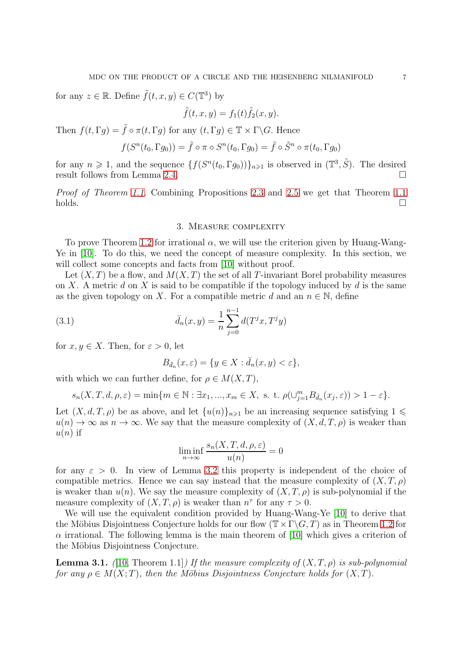for any  $z \in \mathbb{R}$ . Define  $\tilde{f}(t, x, y) \in C(\mathbb{T}^{3})$  by

$$
\tilde{f}(t, x, y) = f_1(t)\tilde{f}_2(x, y).
$$

Then  $f(t, \Gamma g) = \tilde{f} \circ \pi(t, \Gamma g)$  for any  $(t, \Gamma g) \in \mathbb{T} \times \Gamma \backslash G$ . Hence

$$
f(S^n(t_0, \Gamma g_0)) = \tilde{f} \circ \pi \circ S^n(t_0, \Gamma g_0) = \tilde{f} \circ \tilde{S}^n \circ \pi(t_0, \Gamma g_0)
$$

for any  $n \geq 1$ , and the sequence  $\{f(S^n(t_0, \Gamma g_0))\}_{n \geq 1}$  is observed in  $(\mathbb{T}^3, \tilde{S})$ . The desired result follows from Lemma [2.4.](#page-5-1)

Proof of Theorem [1.1](#page-1-2). Combining Propositions [2.3](#page-3-4) and [2.5](#page-5-2) we get that Theorem [1.1](#page-1-2)  $\Box$ holds.

# 3. Measure complexity

To prove Theorem [1.2](#page-1-3) for irrational  $\alpha$ , we will use the criterion given by Huang-Wang-Ye in [\[10\]](#page-15-7). To do this, we need the concept of measure complexity. In this section, we will collect some concepts and facts from [\[10\]](#page-15-7) without proof.

Let  $(X, T)$  be a flow, and  $M(X, T)$  the set of all T-invariant Borel probability measures on X. A metric d on X is said to be compatible if the topology induced by d is the same as the given topology on X. For a compatible metric d and an  $n \in \mathbb{N}$ , define

(3.1) 
$$
\bar{d}_n(x,y) = \frac{1}{n} \sum_{j=0}^{n-1} d(T^j x, T^j y)
$$

for  $x, y \in X$ . Then, for  $\varepsilon > 0$ , let

<span id="page-6-0"></span>
$$
B_{\bar{d}_n}(x,\varepsilon) = \{ y \in X : \bar{d}_n(x,y) < \varepsilon \},
$$

with which we can further define, for  $\rho \in M(X,T)$ ,

$$
s_n(X,T,d,\rho,\varepsilon)=\min\{m\in\mathbb{N}:\exists x_1,...,x_m\in X,\text{ s. t. }\rho(\cup_{j=1}^m B_{\bar{d}_n}(x_j,\varepsilon))>1-\varepsilon\}.
$$

Let  $(X, d, T, \rho)$  be as above, and let  $\{u(n)\}_{n\geq 1}$  be an increasing sequence satisfying  $1 \leq$  $u(n) \to \infty$  as  $n \to \infty$ . We say that the measure complexity of  $(X, d, T, \rho)$  is weaker than  $u(n)$  if

$$
\liminf_{n \to \infty} \frac{s_n(X, T, d, \rho, \varepsilon)}{u(n)} = 0
$$

for any  $\varepsilon > 0$ . In view of Lemma [3.2](#page-7-0) this property is independent of the choice of compatible metrics. Hence we can say instead that the measure complexity of  $(X, T, \rho)$ is weaker than  $u(n)$ . We say the measure complexity of  $(X, T, \rho)$  is sub-polynomial if the measure complexity of  $(X, T, \rho)$  is weaker than  $n^{\tau}$  for any  $\tau > 0$ .

We will use the equivalent condition provided by Huang-Wang-Ye [\[10\]](#page-15-7) to derive that the Möbius Disjointness Conjecture holds for our flow  $(\mathbb{T} \times \Gamma \backslash G, T)$  as in Theorem [1.2](#page-1-3) for  $\alpha$  irrational. The following lemma is the main theorem of [\[10\]](#page-15-7) which gives a criterion of the Möbius Disjointness Conjecture.

<span id="page-6-1"></span>**Lemma 3.1.** ([\[10,](#page-15-7) Theorem 1.1]) If the measure complexity of  $(X, T, \rho)$  is sub-polynomial for any  $\rho \in M(X;T)$ , then the Möbius Disjointness Conjecture holds for  $(X,T)$ .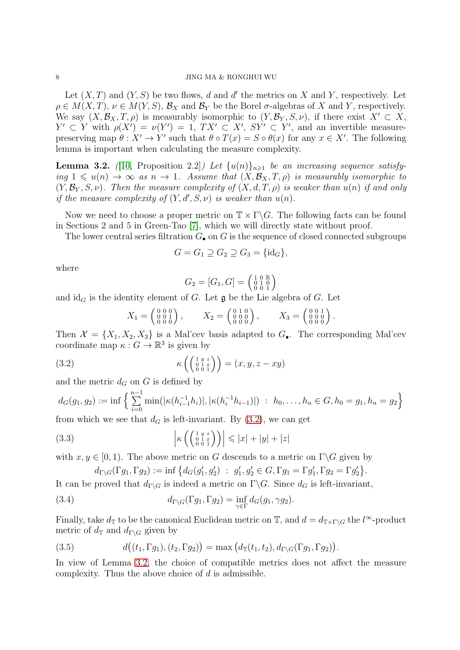Let  $(X, T)$  and  $(Y, S)$  be two flows, d and d' the metrics on X and Y, respectively. Let  $\rho \in M(X,T)$ ,  $\nu \in M(Y,S)$ ,  $\mathcal{B}_X$  and  $\mathcal{B}_Y$  be the Borel  $\sigma$ -algebras of X and Y, respectively. We say  $(X, \mathcal{B}_X, T, \rho)$  is measurably isomorphic to  $(Y, \mathcal{B}_Y, S, \nu)$ , if there exist  $X' \subset X$ ,  $Y' \subset Y$  with  $\rho(X') = \nu(Y') = 1$ ,  $TX' \subset X'$ ,  $SY' \subset Y'$ , and an invertible measurepreserving map  $\theta: X' \to Y'$  such that  $\theta \circ T(x) = S \circ \theta(x)$  for any  $x \in X'$ . The following lemma is important when calculating the measure complexity.

<span id="page-7-0"></span>**Lemma 3.2.** ([\[10,](#page-15-7) Proposition 2.2]) Let  $\{u(n)\}_{n\geqslant1}$  be an increasing sequence satisfying  $1 \leq u(n) \to \infty$  as  $n \to 1$ . Assume that  $(X, \mathcal{B}_X, T, \rho)$  is measurably isomorphic to  $(Y, \mathcal{B}_Y, S, \nu)$ . Then the measure complexity of  $(X, d, T, \rho)$  is weaker than  $u(n)$  if and only if the measure complexity of  $(Y, d', S, \nu)$  is weaker than  $u(n)$ .

Now we need to choose a proper metric on  $\mathbb{T} \times \Gamma \backslash G$ . The following facts can be found in Sections 2 and 5 in Green-Tao [\[7\]](#page-15-2), which we will directly state without proof.

The lower central series filtration  $G_{\bullet}$  on G is the sequence of closed connected subgroups

$$
G = G_1 \supseteq G_2 \supseteq G_3 = \{id_G\},\
$$

where

$$
G_2 = [G_1, G] = \left(\begin{smallmatrix} 1 & 0 & \mathbb{R} \\ 0 & 1 & 0 \\ 0 & 0 & 1 \end{smallmatrix}\right)
$$

and  $\mathrm{id}_G$  is the identity element of G. Let  $\mathfrak g$  be the Lie algebra of G. Let

<span id="page-7-1"></span>
$$
X_1 = \begin{pmatrix} 0 & 0 & 0 \\ 0 & 0 & 1 \\ 0 & 0 & 0 \end{pmatrix}, \qquad X_2 = \begin{pmatrix} 0 & 1 & 0 \\ 0 & 0 & 0 \\ 0 & 0 & 0 \end{pmatrix}, \qquad X_3 = \begin{pmatrix} 0 & 0 & 1 \\ 0 & 0 & 0 \\ 0 & 0 & 0 \end{pmatrix}.
$$

Then  $\mathcal{X} = \{X_1, X_2, X_3\}$  is a Mal'cev basis adapted to  $G_{\bullet}$ . The corresponding Mal'cev coordinate map  $\kappa: G \to \mathbb{R}^3$  is given by

(3.2) 
$$
\kappa\left(\left(\begin{smallmatrix} 1 & y & z \\ 0 & 1 & x \\ 0 & 0 & 1 \end{smallmatrix}\right)\right) = (x, y, z - xy)
$$

and the metric  $d_G$  on G is defined by

$$
d_G(g_1, g_2) := \inf \left\{ \sum_{i=0}^{n-1} \min(|\kappa(h_{i-1}^{-1}h_i)|, |\kappa(h_i^{-1}h_{i-1})|) : h_0, \dots, h_n \in G, h_0 = g_1, h_n = g_2 \right\}
$$

from which we see that  $d_G$  is left-invariant. By  $(3.2)$ , we can get

(3.3) 
$$
\left| \kappa \left( \begin{pmatrix} 1 & y & z \\ 0 & 1 & x \\ 0 & 0 & 1 \end{pmatrix} \right) \right| \leqslant |x| + |y| + |z|
$$

with  $x, y \in [0, 1)$ . The above metric on G descends to a metric on  $\Gamma \backslash G$  given by

<span id="page-7-4"></span><span id="page-7-3"></span>
$$
d_{\Gamma\backslash G}(\Gamma g_1,\Gamma g_2):=\inf\big\{d_G(g_1',g_2')\ :\ g_1',g_2'\in G, \Gamma g_1=\Gamma g_1', \Gamma g_2=\Gamma g_2'\big\}.
$$

It can be proved that  $d_{\Gamma\backslash G}$  is indeed a metric on  $\Gamma\backslash G$ . Since  $d_G$  is left-invariant,

(3.4) 
$$
d_{\Gamma \backslash G}(\Gamma g_1, \Gamma g_2) = \inf_{\gamma \in \Gamma} d_G(g_1, \gamma g_2).
$$

Finally, take  $d_{\mathbb{T}}$  to be the canonical Euclidean metric on  $\mathbb{T}$ , and  $d = d_{\mathbb{T} \times \Gamma \backslash G}$  the  $l^{\infty}$ -product metric of  $d_{\mathbb{T}}$  and  $d_{\mathbb{T}\setminus G}$  given by

<span id="page-7-2"></span>(3.5) 
$$
d((t_1, \Gamma g_1), (t_2, \Gamma g_2)) = \max (d_{\mathbb{T}}(t_1, t_2), d_{\Gamma \backslash G}(\Gamma g_1, \Gamma g_2)).
$$

In view of Lemma [3.2,](#page-7-0) the choice of compatible metrics does not affect the measure complexity. Thus the above choice of d is admissible.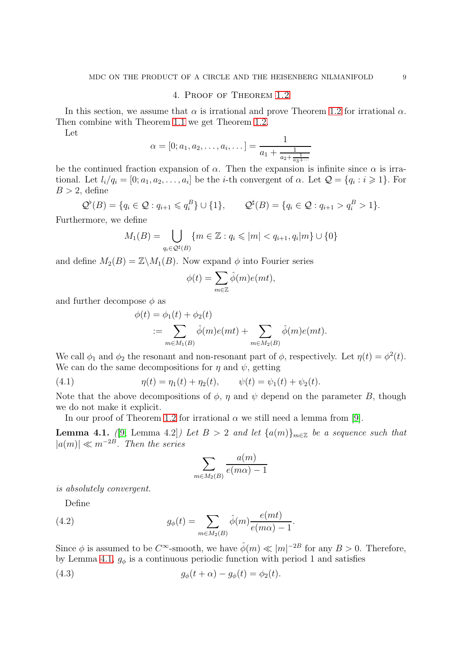### 4. Proof of Theorem [1.2](#page-1-3)

In this section, we assume that  $\alpha$  is irrational and prove Theorem [1.2](#page-1-3) for irrational  $\alpha$ . Then combine with Theorem [1.1](#page-1-2) we get Theorem [1.2.](#page-1-3)

Let

$$
\alpha = [0; a_1, a_2, \dots, a_i, \dots] = \frac{1}{a_1 + \frac{1}{a_2 + \frac{1}{a_3 + \dotsb}}}
$$

be the continued fraction expansion of  $\alpha$ . Then the expansion is infinite since  $\alpha$  is irrational. Let  $l_i/q_i = [0; a_1, a_2, \ldots, a_i]$  be the *i*-th convergent of  $\alpha$ . Let  $\mathcal{Q} = \{q_i : i \geq 1\}$ . For  $B > 2$ , define

$$
\mathcal{Q}^{\flat}(B) = \{q_i \in \mathcal{Q} : q_{i+1} \leqslant q_i^B\} \cup \{1\}, \qquad \mathcal{Q}^{\sharp}(B) = \{q_i \in \mathcal{Q} : q_{i+1} > q_i^B > 1\}.
$$

Furthermore, we define

$$
M_1(B) = \bigcup_{q_i \in \mathcal{Q}^{\sharp}(B)} \{ m \in \mathbb{Z} : q_i \leqslant |m| < q_{i+1}, q_i | m \} \cup \{ 0 \}
$$

and define  $M_2(B) = \mathbb{Z} \backslash M_1(B)$ . Now expand  $\phi$  into Fourier series

$$
\phi(t) = \sum_{m \in \mathbb{Z}} \hat{\phi}(m)e(mt),
$$

and further decompose  $\phi$  as

$$
\phi(t) = \phi_1(t) + \phi_2(t)
$$
  
 := 
$$
\sum_{m \in M_1(B)} \hat{\phi}(m)e(mt) + \sum_{m \in M_2(B)} \hat{\phi}(m)e(mt).
$$

We call  $\phi_1$  and  $\phi_2$  the resonant and non-resonant part of  $\phi$ , respectively. Let  $\eta(t) = \phi^2(t)$ . We can do the same decompositions for  $\eta$  and  $\psi$ , getting

(4.1) 
$$
\eta(t) = \eta_1(t) + \eta_2(t), \qquad \psi(t) = \psi_1(t) + \psi_2(t).
$$

Note that the above decompositions of  $\phi$ ,  $\eta$  and  $\psi$  depend on the parameter B, though we do not make it explicit.

In our proof of Theorem [1.2](#page-1-3) for irrational  $\alpha$  we still need a lemma from [\[9\]](#page-15-9).

<span id="page-8-0"></span>**Lemma 4.1.** ([\[9,](#page-15-9) Lemma 4.2]) Let  $B > 2$  and let  $\{a(m)\}_{m \in \mathbb{Z}}$  be a sequence such that  $|a(m)| \ll m^{-2B}$ . Then the series

<span id="page-8-2"></span><span id="page-8-1"></span>
$$
\sum_{m \in M_2(B)} \frac{a(m)}{e(m\alpha) - 1}
$$

is absolutely convergent.

Define

(4.2) 
$$
g_{\phi}(t) = \sum_{m \in M_2(B)} \hat{\phi}(m) \frac{e(mt)}{e(m\alpha) - 1}.
$$

Since  $\phi$  is assumed to be  $C^{\infty}$ -smooth, we have  $\hat{\phi}(m) \ll |m|^{-2B}$  for any  $B > 0$ . Therefore, by Lemma [4.1,](#page-8-0)  $g_{\phi}$  is a continuous periodic function with period 1 and satisfies

(4.3) 
$$
g_{\phi}(t + \alpha) - g_{\phi}(t) = \phi_2(t).
$$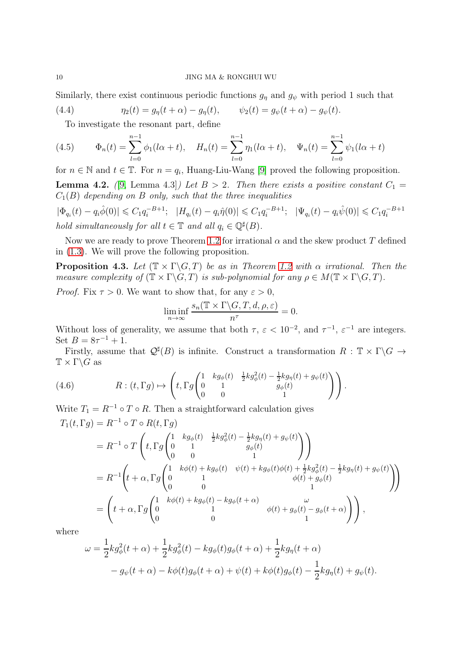Similarly, there exist continuous periodic functions  $g_{\eta}$  and  $g_{\psi}$  with period 1 such that

(4.4) 
$$
\eta_2(t) = g_\eta(t + \alpha) - g_\eta(t), \qquad \psi_2(t) = g_\psi(t + \alpha) - g_\psi(t).
$$

<span id="page-9-0"></span>To investigate the resonant part, define

(4.5) 
$$
\Phi_n(t) = \sum_{l=0}^{n-1} \phi_1(l\alpha + t), \quad H_n(t) = \sum_{l=0}^{n-1} \eta_1(l\alpha + t), \quad \Psi_n(t) = \sum_{l=0}^{n-1} \psi_1(l\alpha + t)
$$

for  $n \in \mathbb{N}$  and  $t \in \mathbb{T}$ . For  $n = q_i$ , Huang-Liu-Wang [\[9\]](#page-15-9) proved the following proposition.

<span id="page-9-1"></span>**Lemma 4.2.** ([\[9,](#page-15-9) Lemma 4.3]) Let  $B > 2$ . Then there exists a positive constant  $C_1 =$  $C_1(B)$  depending on B only, such that the three inequalities

 $|\Phi_{q_i}(t) - q_i \hat{\phi}(0)| \leqslant C_1 q_i^{-B+1}; \ \ |H_{q_i}(t) - q_i \hat{\eta}(0)| \leqslant C_1 q_i^{-B+1}; \ \ |\Psi_{q_i}(t) - q_i \hat{\psi}(0)| \leqslant C_1 q_i^{-B+1}$ hold simultaneously for all  $t \in \mathbb{T}$  and all  $q_i \in \mathbb{Q}^{\sharp}(B)$ .

Now we are ready to prove Theorem [1.2](#page-1-3) for irrational  $\alpha$  and the skew product T defined in [\(1.3\)](#page-1-1). We will prove the following proposition.

<span id="page-9-3"></span>**Proposition 4.3.** Let  $(\mathbb{T} \times \Gamma \backslash G, T)$  be as in Theorem [1.2](#page-1-3) with  $\alpha$  irrational. Then the measure complexity of  $(\mathbb{T} \times \Gamma \backslash G, T)$  is sub-polynomial for any  $\rho \in M(\mathbb{T} \times \Gamma \backslash G, T)$ .

*Proof.* Fix  $\tau > 0$ . We want to show that, for any  $\varepsilon > 0$ ,

$$
\liminf_{n \to \infty} \frac{s_n(\mathbb{T} \times \Gamma \backslash G, T, d, \rho, \varepsilon)}{n^{\tau}} = 0.
$$

Without loss of generality, we assume that both  $\tau$ ,  $\varepsilon < 10^{-2}$ , and  $\tau^{-1}$ ,  $\varepsilon^{-1}$  are integers. Set  $B = 8\tau^{-1} + 1$ .

Firstly, assume that  $\mathcal{Q}^{\sharp}(B)$  is infinite. Construct a transformation  $R : \mathbb{T} \times \Gamma \backslash G \to$  $\mathbb{T} \times \Gamma \backslash G$  as

(4.6) 
$$
R: (t, \Gamma g) \mapsto \left( t, \Gamma g \begin{pmatrix} 1 & kg_{\phi}(t) & \frac{1}{2}kg_{\phi}^2(t) - \frac{1}{2}kg_{\eta}(t) + g_{\psi}(t) \\ 0 & 1 & g_{\phi}(t) \\ 0 & 0 & 1 \end{pmatrix} \right).
$$

Write  $T_1 = R^{-1} \circ T \circ R$ . Then a straightforward calculation gives  $T_1(t, \Gamma g) = R^{-1} \circ T \circ R(t, \Gamma g)$ 

<span id="page-9-2"></span>
$$
= R^{-1} \circ T \left( t, \Gamma g \begin{pmatrix} 1 & kg_{\phi}(t) & \frac{1}{2}kg_{\phi}^{2}(t) - \frac{1}{2}kg_{\eta}(t) + g_{\psi}(t) \\ 0 & 1 & g_{\phi}(t) \end{pmatrix} \right)
$$
  
\n
$$
= R^{-1} \left( t + \alpha, \Gamma g \begin{pmatrix} 1 & k\phi(t) + kg_{\phi}(t) & \psi(t) + kg_{\phi}(t)\phi(t) + \frac{1}{2}kg_{\phi}^{2}(t) - \frac{1}{2}kg_{\eta}(t) + g_{\psi}(t) \\ 0 & 1 & \phi(t) + g_{\phi}(t) \end{pmatrix} \right)
$$
  
\n
$$
= \left( t + \alpha, \Gamma g \begin{pmatrix} 1 & k\phi(t) + kg_{\phi}(t) - kg_{\phi}(t + \alpha) & \omega \\ 0 & 1 & \phi(t) + g_{\phi}(t) - g_{\phi}(t + \alpha) \\ 0 & 0 & 1 \end{pmatrix} \right),
$$

where

$$
\omega = \frac{1}{2} k g_{\phi}^{2}(t + \alpha) + \frac{1}{2} k g_{\phi}^{2}(t) - k g_{\phi}(t) g_{\phi}(t + \alpha) + \frac{1}{2} k g_{\eta}(t + \alpha)
$$
  

$$
- g_{\psi}(t + \alpha) - k \phi(t) g_{\phi}(t + \alpha) + \psi(t) + k \phi(t) g_{\phi}(t) - \frac{1}{2} k g_{\eta}(t) + g_{\psi}(t).
$$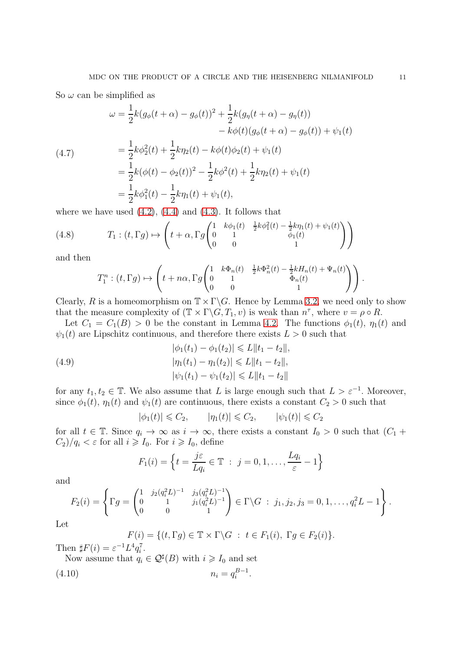So  $\omega$  can be simplified as

(4.7)  
\n
$$
\omega = \frac{1}{2}k(g_{\phi}(t+\alpha) - g_{\phi}(t))^{2} + \frac{1}{2}k(g_{\eta}(t+\alpha) - g_{\eta}(t)) - k\phi(t)(g_{\phi}(t+\alpha) - g_{\phi}(t)) + \psi_{1}(t)
$$
\n
$$
= \frac{1}{2}k\phi_{2}^{2}(t) + \frac{1}{2}k\eta_{2}(t) - k\phi(t)\phi_{2}(t) + \psi_{1}(t)
$$
\n
$$
= \frac{1}{2}k(\phi(t) - \phi_{2}(t))^{2} - \frac{1}{2}k\phi^{2}(t) + \frac{1}{2}k\eta_{2}(t) + \psi_{1}(t)
$$
\n
$$
= \frac{1}{2}k\phi_{1}^{2}(t) - \frac{1}{2}k\eta_{1}(t) + \psi_{1}(t),
$$

where we have used  $(4.2)$ ,  $(4.4)$  and  $(4.3)$ . It follows that

(4.8) 
$$
T_1: (t, \Gamma g) \mapsto \left( t + \alpha, \Gamma g \begin{pmatrix} 1 & k\phi_1(t) & \frac{1}{2}k\phi_1^2(t) - \frac{1}{2}k\eta_1(t) + \psi_1(t) \\ 0 & 1 & \phi_1(t) \\ 0 & 0 & 1 \end{pmatrix} \right)
$$

and then

<span id="page-10-2"></span>
$$
T_1^n:(t,\Gamma g)\mapsto \left(t+n\alpha,\Gamma g\begin{pmatrix}1&k\Phi_n(t)&\frac{1}{2}k\Phi_n^2(t)-\frac{1}{2}kH_n(t)+\Psi_n(t)\\0&1&\Phi_n(t)\\0&0&1\end{pmatrix}\right).
$$

Clearly, R is a homeomorphism on  $\mathbb{T} \times \Gamma \backslash G$ . Hence by Lemma [3.2,](#page-7-0) we need only to show that the measure complexity of  $(\mathbb{T} \times \Gamma \backslash G, T_1, v)$  is weak than  $n^{\tau}$ , where  $v = \rho \circ R$ .

Let  $C_1 = C_1(B) > 0$  be the constant in Lemma [4.2.](#page-9-1) The functions  $\phi_1(t)$ ,  $\eta_1(t)$  and  $\psi_1(t)$  are Lipschitz continuous, and therefore there exists  $L > 0$  such that

<span id="page-10-1"></span>(4.9) 
$$
|\phi_1(t_1) - \phi_1(t_2)| \le L \|t_1 - t_2\|,
$$

$$
|\eta_1(t_1) - \eta_1(t_2)| \le L \|t_1 - t_2\|,
$$

$$
|\psi_1(t_1) - \psi_1(t_2)| \le L \|t_1 - t_2\|
$$

for any  $t_1, t_2 \in \mathbb{T}$ . We also assume that L is large enough such that  $L > \varepsilon^{-1}$ . Moreover, since  $\phi_1(t)$ ,  $\eta_1(t)$  and  $\psi_1(t)$  are continuous, there exists a constant  $C_2 > 0$  such that

$$
|\phi_1(t)| \leq C_2, \qquad |\eta_1(t)| \leq C_2, \qquad |\psi_1(t)| \leq C_2
$$

for all  $t \in \mathbb{T}$ . Since  $q_i \to \infty$  as  $i \to \infty$ , there exists a constant  $I_0 > 0$  such that  $(C_1 +$  $C_2$ )/ $q_i < \varepsilon$  for all  $i \geqslant I_0$ . For  $i \geqslant I_0$ , define

$$
F_1(i) = \left\{ t = \frac{j\varepsilon}{Lq_i} \in \mathbb{T} \ : \ j = 0, 1, \dots, \frac{Lq_i}{\varepsilon} - 1 \right\}
$$

and

$$
F_2(i) = \left\{ \Gamma g = \begin{pmatrix} 1 & j_2(q_i^2 L)^{-1} & j_3(q_i^2 L)^{-1} \\ 0 & 1 & j_1(q_i^2 L)^{-1} \\ 0 & 0 & 1 \end{pmatrix} \in \Gamma \backslash G \; : \; j_1, j_2, j_3 = 0, 1, \ldots, q_i^2 L - 1 \right\}.
$$

Let

<span id="page-10-0"></span>
$$
F(i) = \{ (t, \Gamma g) \in \mathbb{T} \times \Gamma \backslash G : t \in F_1(i), \Gamma g \in F_2(i) \}.
$$

Then  $\sharp F(i) = \varepsilon^{-1} L^4 q_i^7$ .

Now assume that  $q_i \in \mathcal{Q}^{\sharp}(B)$  with  $i \geq l_0$  and set

$$
(4.10) \t\t n_i = q_i^{B-1}.
$$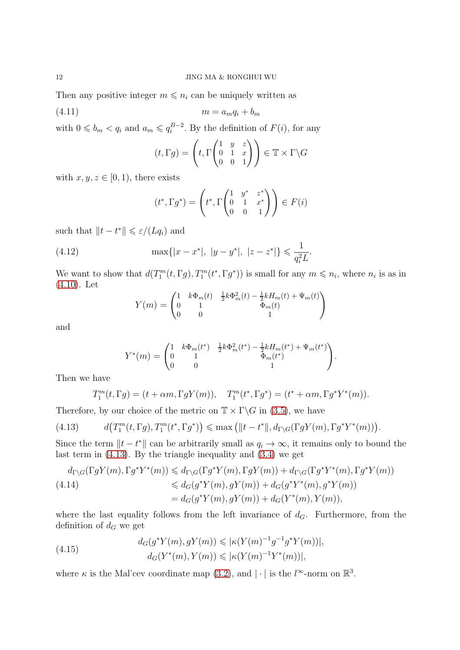Then any positive integer  $m \leq n_i$  can be uniquely written as

$$
(4.11) \t\t\t m = a_m q_i + b_m
$$

with  $0 \leq b_m < q_i$  and  $a_m \leqslant q_i^{B-2}$ . By the definition of  $F(i)$ , for any

<span id="page-11-1"></span>
$$
(t, \Gamma g) = \left( t, \Gamma \begin{pmatrix} 1 & y & z \\ 0 & 1 & x \\ 0 & 0 & 1 \end{pmatrix} \right) \in \mathbb{T} \times \Gamma \backslash G
$$

with  $x, y, z \in [0, 1)$ , there exists

$$
(t^*, \Gamma g^*) = \left(t^*, \Gamma \begin{pmatrix} 1 & y^* & z^* \\ 0 & 1 & x^* \\ 0 & 0 & 1 \end{pmatrix}\right) \in F(i)
$$

such that  $||t - t^*|| \leqslant \varepsilon/(Lq_i)$  and

(4.12) 
$$
\max\{|x - x^*|, |y - y^*|, |z - z^*|\} \leq \frac{1}{q_i^2 L}.
$$

We want to show that  $d(T_1^m(t, \Gamma g), T_1^m(t^*, \Gamma g^*))$  is small for any  $m \leq n_i$ , where  $n_i$  is as in [\(4.10\)](#page-10-0). Let

<span id="page-11-2"></span>
$$
Y(m) = \begin{pmatrix} 1 & k\Phi_m(t) & \frac{1}{2}k\Phi_m^2(t) - \frac{1}{2}kH_m(t) + \Psi_m(t) \\ 0 & 1 & \Phi_m(t) \\ 0 & 0 & 1 \end{pmatrix}
$$

and

$$
Y^*(m) = \begin{pmatrix} 1 & k\Phi_m(t^*) & \frac{1}{2}k\Phi_m^2(t^*) - \frac{1}{2}kH_m(t^*) + \Psi_m(t^*) \\ 0 & 1 & \Phi_m(t^*) \\ 0 & 0 & 1 \end{pmatrix}.
$$

Then we have

<span id="page-11-0"></span>
$$
T_1^m(t,\Gamma g) = (t+\alpha m,\Gamma gY(m)),\quad T_1^m(t^*,\Gamma g^*) = (t^*+\alpha m,\Gamma g^*Y^*(m)).
$$

Therefore, by our choice of the metric on  $\mathbb{T} \times \Gamma \backslash G$  in [\(3.5\)](#page-7-2), we have

(4.13) 
$$
d(T_1^m(t, \Gamma g), T_1^m(t^*, \Gamma g^*)) \leqslant \max\left(\|t - t^*\|, d_{\Gamma \setminus G}(\Gamma gY(m), \Gamma g^*Y^*(m))\right).
$$

Since the term  $||t - t^*||$  can be arbitrarily small as  $q_i \to \infty$ , it remains only to bound the last term in [\(4.13\)](#page-11-0). By the triangle inequality and [\(3.4\)](#page-7-3) we get

<span id="page-11-3"></span>
$$
d_{\Gamma\backslash G}(\Gamma gY(m),\Gamma g^*Y^*(m)) \leq d_{\Gamma\backslash G}(\Gamma g^*Y(m),\Gamma gY(m)) + d_{\Gamma\backslash G}(\Gamma g^*Y^*(m),\Gamma g^*Y(m))
$$
  
(4.14)  

$$
\leq d_G(g^*Y(m),gY(m)) + d_G(g^*Y^*(m),g^*Y(m))
$$

$$
= d_G(g^*Y(m),gY(m)) + d_G(Y^*(m),Y(m)),
$$

where the last equality follows from the left invariance of  $d_G$ . Furthermore, from the definition of  $d_G$  we get

<span id="page-11-4"></span>(4.15) 
$$
d_G(g^*Y(m), gY(m)) \leq |\kappa(Y(m)^{-1}g^{-1}g^*Y(m))|,
$$

$$
d_G(Y^*(m), Y(m)) \leq |\kappa(Y(m)^{-1}Y^*(m))|,
$$

where  $\kappa$  is the Mal'cev coordinate map [\(3.2\)](#page-7-1), and  $|\cdot|$  is the  $l^{\infty}$ -norm on  $\mathbb{R}^{3}$ .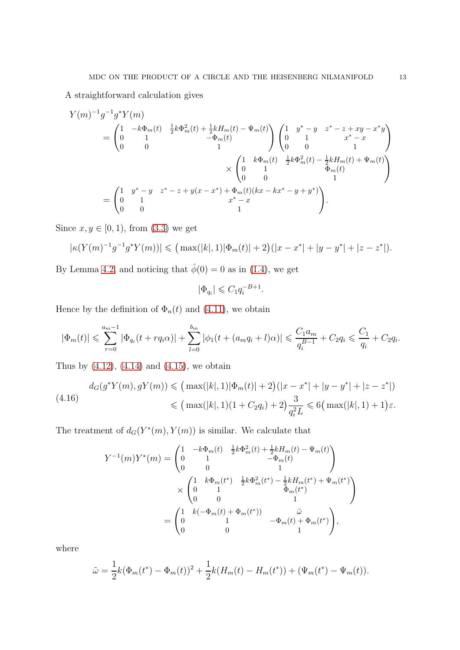A straightforward calculation gives

$$
Y(m)^{-1}g^{-1}g^*Y(m)
$$
  
=  $\begin{pmatrix} 1 & -k\Phi_m(t) & \frac{1}{2}k\Phi_m^2(t) + \frac{1}{2}kH_m(t) - \Psi_m(t) \\ 0 & 1 & -\Phi_m(t) \end{pmatrix} \begin{pmatrix} 1 & y^* - y & z^* - z + xy - x^*y \\ 0 & 1 & x^* - x \\ 0 & 0 & 1 \end{pmatrix}$   

$$
\times \begin{pmatrix} 1 & k\Phi_m(t) & \frac{1}{2}k\Phi_m^2(t) - \frac{1}{2}kH_m(t) + \Psi_m(t) \\ 0 & 0 & 1 \end{pmatrix}
$$
  
=  $\begin{pmatrix} 1 & y^* - y & z^* - z + y(x - x^*) + \Phi_m(t)(kx - kx^* - y + y^*) \\ 0 & 0 & 1 \end{pmatrix}$   
=  $\begin{pmatrix} 1 & y^* - y & z^* - z + y(x - x^*) + \Phi_m(t)(kx - kx^* - y + y^*) \\ 0 & 0 & 1 \end{pmatrix}$ .

Since  $x, y \in [0, 1)$ , from  $(3.3)$  we get

$$
|\kappa(Y(m)^{-1}g^{-1}g^*Y(m))| \leq ( \max(|k|, 1)|\Phi_m(t)| + 2)(|x - x^*| + |y - y^*| + |z - z^*|).
$$

By Lemma [4.2,](#page-9-1) and noticing that  $\hat{\phi}(0) = 0$  as in [\(1.4\)](#page-1-4), we get

$$
|\Phi_{q_i}| \leqslant C_1 q_i^{-B+1}.
$$

Hence by the definition of  $\Phi_n(t)$  and [\(4.11\)](#page-11-1), we obtain

$$
|\Phi_m(t)| \leqslant \sum_{r=0}^{a_m-1} |\Phi_{q_i}(t+r q_i \alpha)| + \sum_{l=0}^{b_m} |\phi_1(t+(a_m q_i+l)\alpha)| \leqslant \frac{C_1 a_m}{q_i^{B-1}} + C_2 q_i \leqslant \frac{C_1}{q_i} + C_2 q_i.
$$

Thus by  $(4.12)$ ,  $(4.14)$  and  $(4.15)$ , we obtain

<span id="page-12-0"></span>
$$
d_G(g^*Y(m), gY(m)) \leq ( \max(|k|, 1)|\Phi_m(t)| + 2)(|x - x^*| + |y - y^*| + |z - z^*|)
$$
  

$$
\leq (\max(|k|, 1)(1 + C_2 q_i) + 2)\frac{3}{q_i^2 L} \leq 6(\max(|k|, 1) + 1)\varepsilon.
$$

The treatment of  $d_G(Y^*(m), Y(m))$  is similar. We calculate that

$$
Y^{-1}(m)Y^{*}(m) = \begin{pmatrix} 1 & -k\Phi_{m}(t) & \frac{1}{2}k\Phi_{m}^{2}(t) + \frac{1}{2}kH_{m}(t) - \Psi_{m}(t) \\ 0 & 1 & -\Phi_{m}(t) \\ 0 & 0 & 1 \end{pmatrix}
$$

$$
\times \begin{pmatrix} 1 & k\Phi_{m}(t^{*}) & \frac{1}{2}k\Phi_{m}^{2}(t^{*}) - \frac{1}{2}kH_{m}(t^{*}) + \Psi_{m}(t^{*}) \\ 0 & 1 & \Phi_{m}(t^{*}) \\ 0 & 0 & 1 \end{pmatrix}
$$

$$
= \begin{pmatrix} 1 & k(-\Phi_{m}(t) + \Phi_{m}(t^{*})) & \tilde{\omega} \\ 0 & 1 & -\Phi_{m}(t) + \Phi_{m}(t^{*}) \\ 0 & 0 & 1 \end{pmatrix},
$$

where

$$
\tilde{\omega} = \frac{1}{2}k(\Phi_m(t^*) - \Phi_m(t))^2 + \frac{1}{2}k(H_m(t) - H_m(t^*)) + (\Psi_m(t^*) - \Psi_m(t)).
$$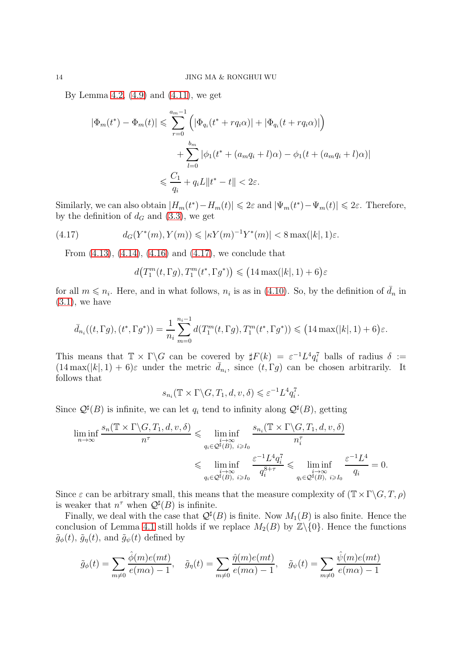By Lemma [4.2,](#page-9-1)  $(4.9)$  and  $(4.11)$ , we get

$$
|\Phi_m(t^*) - \Phi_m(t)| \leq \sum_{r=0}^{a_m - 1} \left( |\Phi_{q_i}(t^* + r q_i \alpha)| + |\Phi_{q_i}(t + r q_i \alpha)| \right) + \sum_{l=0}^{b_m} |\phi_1(t^* + (a_m q_i + l)\alpha) - \phi_1(t + (a_m q_i + l)\alpha)| \leq \frac{C_1}{q_i} + q_i L ||t^* - t|| < 2\varepsilon.
$$

Similarly, we can also obtain  $|H_m(t^*) - H_m(t)| \leq 2\varepsilon$  and  $|\Psi_m(t^*) - \Psi_m(t)| \leq 2\varepsilon$ . Therefore, by the definition of  $d_G$  and [\(3.3\)](#page-7-4), we get

(4.17) 
$$
d_G(Y^*(m), Y(m)) \leqslant |\kappa Y(m)^{-1} Y^*(m)| < 8 \max(|k|, 1) \varepsilon.
$$

From [\(4.13\)](#page-11-0), [\(4.14\)](#page-11-3), [\(4.16\)](#page-12-0) and [\(4.17\)](#page-13-0), we conclude that

<span id="page-13-0"></span> $d(T_1^m)$  $\binom{m}{1}(t,\Gamma g),T_1^m(t^*,\Gamma g^*)\leq (14\max(|k|,1)+6)\varepsilon$ 

for all  $m \leq n_i$ . Here, and in what follows,  $n_i$  is as in [\(4.10\)](#page-10-0). So, by the definition of  $\bar{d}_n$  in  $(3.1)$ , we have

$$
\bar{d}_{n_i}((t, \Gamma g), (t^*, \Gamma g^*)) = \frac{1}{n_i} \sum_{m=0}^{n_i - 1} d(T_1^m(t, \Gamma g), T_1^m(t^*, \Gamma g^*)) \leq (14 \max(|k|, 1) + 6)\varepsilon.
$$

This means that  $\mathbb{T} \times \Gamma \backslash G$  can be coverged by  $\sharp F(k) = \varepsilon^{-1} L^4 q_i^7$  balls of radius  $\delta :=$  $(14 \max(|k|, 1) + 6)\varepsilon$  under the metric  $\bar{d}_{n_i}$ , since  $(t, \Gamma g)$  can be chosen arbitrarily. It follows that

$$
s_{n_i}(\mathbb{T} \times \Gamma \backslash G, T_1, d, v, \delta) \leqslant \varepsilon^{-1} L^4 q_i^7.
$$

Since  $\mathcal{Q}^{\sharp}(B)$  is infinite, we can let  $q_i$  tend to infinity along  $\mathcal{Q}^{\sharp}(B)$ , getting

$$
\liminf_{n \to \infty} \frac{s_n(\mathbb{T} \times \Gamma \backslash G, T_1, d, v, \delta)}{n^{\tau}} \leq \liminf_{\substack{i \to \infty \\ q_i \in \mathcal{Q}^{\sharp}(B), i \geqslant I_0}} \frac{s_{n_i}(\mathbb{T} \times \Gamma \backslash G, T_1, d, v, \delta)}{n_i^{\tau}} \leq \liminf_{\substack{i \to \infty \\ q_i \in \mathcal{Q}^{\sharp}(B), i \geqslant I_0}} \frac{\varepsilon^{-1} L^4 q_i^{\tau}}{q_i^{\delta + \tau}} \leqslant \liminf_{\substack{i \to \infty \\ q_i \in \mathcal{Q}^{\sharp}(B), i \geqslant I_0}} \frac{\varepsilon^{-1} L^4}{q_i} = 0.
$$

Since  $\varepsilon$  can be arbitrary small, this means that the measure complexity of  $(\mathbb{T} \times \Gamma \backslash G, T, \rho)$ is weaker that  $n^{\tau}$  when  $\mathcal{Q}^{\sharp}(B)$  is infinite.

Finally, we deal with the case that  $\mathcal{Q}^{\sharp}(B)$  is finite. Now  $M_1(B)$  is also finite. Hence the conclusion of Lemma [4.1](#page-8-0) still holds if we replace  $M_2(B)$  by  $\mathbb{Z}\backslash\{0\}$ . Hence the functions  $\tilde{g}_{\phi}(t), \tilde{g}_{\eta}(t)$ , and  $\tilde{g}_{\psi}(t)$  defined by

$$
\tilde{g}_{\phi}(t) = \sum_{m \neq 0} \frac{\hat{\phi}(m)e(mt)}{e(m\alpha) - 1}, \quad \tilde{g}_{\eta}(t) = \sum_{m \neq 0} \frac{\hat{\eta}(m)e(mt)}{e(m\alpha) - 1}, \quad \tilde{g}_{\psi}(t) = \sum_{m \neq 0} \frac{\hat{\psi}(m)e(mt)}{e(m\alpha) - 1}
$$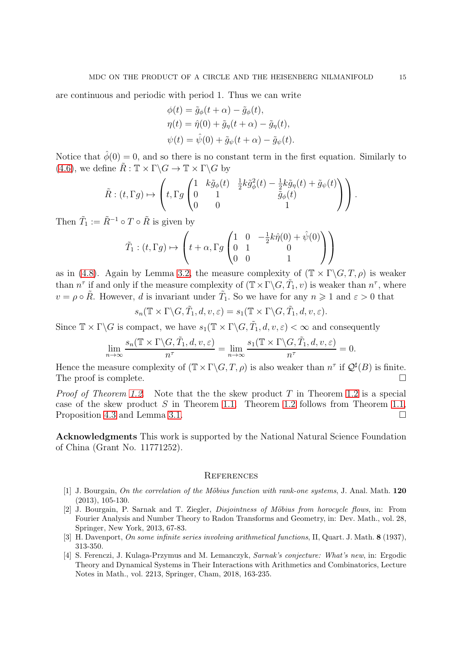are continuous and periodic with period 1. Thus we can write

$$
\phi(t) = \tilde{g}_{\phi}(t + \alpha) - \tilde{g}_{\phi}(t),
$$
  
\n
$$
\eta(t) = \hat{\eta}(0) + \tilde{g}_{\eta}(t + \alpha) - \tilde{g}_{\eta}(t),
$$
  
\n
$$
\psi(t) = \hat{\psi}(0) + \tilde{g}_{\psi}(t + \alpha) - \tilde{g}_{\psi}(t).
$$

Notice that  $\hat{\phi}(0) = 0$ , and so there is no constant term in the first equation. Similarly to [\(4.6\)](#page-9-2), we define  $\tilde{R}: \mathbb{T} \times \Gamma \backslash G \to \mathbb{T} \times \Gamma \backslash G$  by

$$
\tilde{R}: (t, \Gamma g) \mapsto \left( t, \Gamma g \begin{pmatrix} 1 & k\tilde{g}_{\phi}(t) & \frac{1}{2}k\tilde{g}_{\phi}^{2}(t) - \frac{1}{2}k\tilde{g}_{\eta}(t) + \tilde{g}_{\psi}(t) \\ 0 & 1 & \tilde{g}_{\phi}(t) \\ 0 & 0 & 1 \end{pmatrix} \right).
$$

Then  $\tilde{T}_1 := \tilde{R}^{-1} \circ T \circ \tilde{R}$  is given by

$$
\tilde{T}_1: (t, \Gamma g) \mapsto \left( t + \alpha, \Gamma g \begin{pmatrix} 1 & 0 & -\frac{1}{2}k\hat{\eta}(0) + \hat{\psi}(0) \\ 0 & 1 & 0 \\ 0 & 0 & 1 \end{pmatrix} \right)
$$

as in [\(4.8\)](#page-10-2). Again by Lemma [3.2,](#page-7-0) the measure complexity of  $(\mathbb{T} \times \Gamma \backslash G, T, \rho)$  is weaker than  $n^{\tau}$  if and only if the measure complexity of  $(\mathbb{T} \times \Gamma \backslash G, \tilde{T}_1, v)$  is weaker than  $n^{\tau}$ , where  $v = \rho \circ \tilde{R}$ . However, d is invariant under  $\tilde{T}_1$ . So we have for any  $n \geq 1$  and  $\varepsilon > 0$  that

$$
s_n(\mathbb{T} \times \Gamma \backslash G, \tilde{T}_1, d, v, \varepsilon) = s_1(\mathbb{T} \times \Gamma \backslash G, \tilde{T}_1, d, v, \varepsilon).
$$

Since  $\mathbb{T} \times \Gamma \backslash G$  is compact, we have  $s_1(\mathbb{T} \times \Gamma \backslash G, \tilde{T}_1, d, v, \varepsilon) < \infty$  and consequently

$$
\lim_{n \to \infty} \frac{s_n(\mathbb{T} \times \Gamma \backslash G, \tilde{T}_1, d, v, \varepsilon)}{n^{\tau}} = \lim_{n \to \infty} \frac{s_1(\mathbb{T} \times \Gamma \backslash G, \tilde{T}_1, d, v, \varepsilon)}{n^{\tau}} = 0.
$$

Hence the measure complexity of  $(\mathbb{T} \times \Gamma \backslash G, T, \rho)$  is also weaker than  $n^{\tau}$  if  $\mathcal{Q}^{\sharp}(B)$  is finite. The proof is complete.

*Proof of Theorem [1.2](#page-1-3).* Note that the the skew product T in Theorem 1.2 is a special case of the skew product S in Theorem [1.1.](#page-1-2) Theorem [1.2](#page-1-3) follows from Theorem [1.1,](#page-1-2) Proposition [4.3](#page-9-3) and Lemma [3.1.](#page-6-1)

Acknowledgments This work is supported by the National Natural Science Foundation of China (Grant No. 11771252).

### **REFERENCES**

- <span id="page-14-1"></span>[1] J. Bourgain, On the correlation of the Möbius function with rank-one systems, J. Anal. Math.  $120$ (2013), 105-130.
- <span id="page-14-2"></span>[2] J. Bourgain, P. Sarnak and T. Ziegler, *Disjointness of Möbius from horocycle flows*, in: From Fourier Analysis and Number Theory to Radon Transforms and Geometry, in: Dev. Math., vol. 28, Springer, New York, 2013, 67-83.
- <span id="page-14-3"></span><span id="page-14-0"></span>[3] H. Davenport, On some infinite series involving arithmetical functions, II, Quart. J. Math. 8 (1937), 313-350.
- [4] S. Ferenczi, J. Kulaga-Przymus and M. Lemanczyk, Sarnak's conjecture: What's new, in: Ergodic Theory and Dynamical Systems in Their Interactions with Arithmetics and Combinatorics, Lecture Notes in Math., vol. 2213, Springer, Cham, 2018, 163-235.